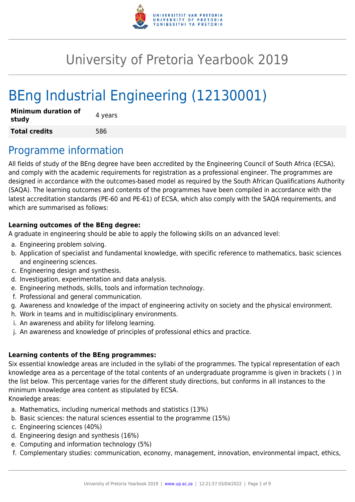

# University of Pretoria Yearbook 2019

# BEng Industrial Engineering (12130001)

| <b>Minimum duration of</b><br>study | 4 years |
|-------------------------------------|---------|
| <b>Total credits</b>                | 586     |

## Programme information

All fields of study of the BEng degree have been accredited by the Engineering Council of South Africa (ECSA), and comply with the academic requirements for registration as a professional engineer. The programmes are designed in accordance with the outcomes-based model as required by the South African Qualifications Authority (SAQA). The learning outcomes and contents of the programmes have been compiled in accordance with the latest accreditation standards (PE-60 and PE-61) of ECSA, which also comply with the SAQA requirements, and which are summarised as follows:

#### **Learning outcomes of the BEng degree:**

A graduate in engineering should be able to apply the following skills on an advanced level:

- a. Engineering problem solving.
- b. Application of specialist and fundamental knowledge, with specific reference to mathematics, basic sciences and engineering sciences.
- c. Engineering design and synthesis.
- d. Investigation, experimentation and data analysis.
- e. Engineering methods, skills, tools and information technology.
- f. Professional and general communication.
- g. Awareness and knowledge of the impact of engineering activity on society and the physical environment.
- h. Work in teams and in multidisciplinary environments.
- i. An awareness and ability for lifelong learning.
- j. An awareness and knowledge of principles of professional ethics and practice.

#### **Learning contents of the BEng programmes:**

Six essential knowledge areas are included in the syllabi of the programmes. The typical representation of each knowledge area as a percentage of the total contents of an undergraduate programme is given in brackets ( ) in the list below. This percentage varies for the different study directions, but conforms in all instances to the minimum knowledge area content as stipulated by ECSA. Knowledge areas:

- a. Mathematics, including numerical methods and statistics (13%)
- b. Basic sciences: the natural sciences essential to the programme (15%)
- c. Engineering sciences (40%)
- d. Engineering design and synthesis (16%)
- e. Computing and information technology (5%)
- f. Complementary studies: communication, economy, management, innovation, environmental impact, ethics,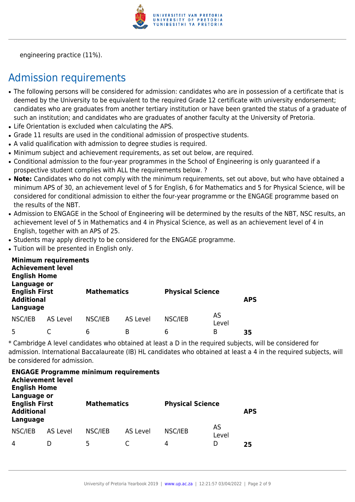

engineering practice (11%).

# Admission requirements

- The following persons will be considered for admission: candidates who are in possession of a certificate that is deemed by the University to be equivalent to the required Grade 12 certificate with university endorsement; candidates who are graduates from another tertiary institution or have been granted the status of a graduate of such an institution; and candidates who are graduates of another faculty at the University of Pretoria.
- Life Orientation is excluded when calculating the APS.
- Grade 11 results are used in the conditional admission of prospective students.
- A valid qualification with admission to degree studies is required.
- Minimum subject and achievement requirements, as set out below, are required.
- Conditional admission to the four-year programmes in the School of Engineering is only guaranteed if a prospective student complies with ALL the requirements below. ?
- Note: Candidates who do not comply with the minimum requirements, set out above, but who have obtained a minimum APS of 30, an achievement level of 5 for English, 6 for Mathematics and 5 for Physical Science, will be considered for conditional admission to either the four-year programme or the ENGAGE programme based on the results of the NBT.
- Admission to ENGAGE in the School of Engineering will be determined by the results of the NBT. NSC results, an achievement level of 5 in Mathematics and 4 in Physical Science, as well as an achievement level of 4 in English, together with an APS of 25.
- Students may apply directly to be considered for the ENGAGE programme.
- Tuition will be presented in English only.

| <b>Achievement level</b><br><b>English Home</b><br>Language or | <b>Minimum requirements</b> |         |                    |         |                         |    |
|----------------------------------------------------------------|-----------------------------|---------|--------------------|---------|-------------------------|----|
| <b>English First</b><br><b>Additional</b><br>Language          |                             |         | <b>Mathematics</b> |         | <b>Physical Science</b> |    |
| NSC/IEB                                                        | <b>AS Level</b>             | NSC/IEB | AS Level           | NSC/IEB | AS<br>Level             |    |
| 5                                                              |                             | 6       | B                  | 6       | B                       | 35 |

\* Cambridge A level candidates who obtained at least a D in the required subjects, will be considered for admission. International Baccalaureate (IB) HL candidates who obtained at least a 4 in the required subjects, will be considered for admission.

| <b>ENGAGE Programme minimum requirements</b><br><b>Achievement level</b><br><b>English Home</b><br>Language or |                 |                    |          |                         |             |            |  |  |  |
|----------------------------------------------------------------------------------------------------------------|-----------------|--------------------|----------|-------------------------|-------------|------------|--|--|--|
| <b>English First</b><br><b>Additional</b><br>Language                                                          |                 | <b>Mathematics</b> |          | <b>Physical Science</b> |             | <b>APS</b> |  |  |  |
| NSC/IEB                                                                                                        | <b>AS Level</b> | NSC/IEB            | AS Level | NSC/IEB                 | AS<br>Level |            |  |  |  |
| 4                                                                                                              |                 | 5                  |          | 4                       | D           | 25         |  |  |  |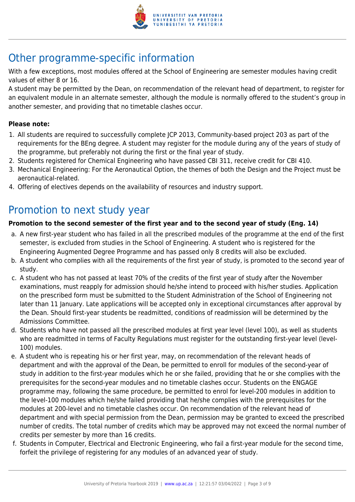

# Other programme-specific information

With a few exceptions, most modules offered at the School of Engineering are semester modules having credit values of either 8 or 16.

A student may be permitted by the Dean, on recommendation of the relevant head of department, to register for an equivalent module in an alternate semester, although the module is normally offered to the student's group in another semester, and providing that no timetable clashes occur.

#### **Please note:**

- 1. All students are required to successfully complete JCP 2013, Community-based project 203 as part of the requirements for the BEng degree. A student may register for the module during any of the years of study of the programme, but preferably not during the first or the final year of study.
- 2. Students registered for Chemical Engineering who have passed CBI 311, receive credit for CBI 410.
- 3. Mechanical Engineering: For the Aeronautical Option, the themes of both the Design and the Project must be aeronautical-related.
- 4. Offering of electives depends on the availability of resources and industry support.

# Promotion to next study year

#### **Promotion to the second semester of the first year and to the second year of study (Eng. 14)**

- a. A new first-year student who has failed in all the prescribed modules of the programme at the end of the first semester, is excluded from studies in the School of Engineering. A student who is registered for the Engineering Augmented Degree Programme and has passed only 8 credits will also be excluded.
- b. A student who complies with all the requirements of the first year of study, is promoted to the second year of study.
- c. A student who has not passed at least 70% of the credits of the first year of study after the November examinations, must reapply for admission should he/she intend to proceed with his/her studies. Application on the prescribed form must be submitted to the Student Administration of the School of Engineering not later than 11 January. Late applications will be accepted only in exceptional circumstances after approval by the Dean. Should first-year students be readmitted, conditions of readmission will be determined by the Admissions Committee.
- d. Students who have not passed all the prescribed modules at first year level (level 100), as well as students who are readmitted in terms of Faculty Regulations must register for the outstanding first-year level (level-100) modules.
- e. A student who is repeating his or her first year, may, on recommendation of the relevant heads of department and with the approval of the Dean, be permitted to enroll for modules of the second-year of study in addition to the first-year modules which he or she failed, providing that he or she complies with the prerequisites for the second-year modules and no timetable clashes occur. Students on the ENGAGE programme may, following the same procedure, be permitted to enrol for level-200 modules in addition to the level-100 modules which he/she failed providing that he/she complies with the prerequisites for the modules at 200-level and no timetable clashes occur. On recommendation of the relevant head of department and with special permission from the Dean, permission may be granted to exceed the prescribed number of credits. The total number of credits which may be approved may not exceed the normal number of credits per semester by more than 16 credits.
- f. Students in Computer, Electrical and Electronic Engineering, who fail a first-year module for the second time, forfeit the privilege of registering for any modules of an advanced year of study.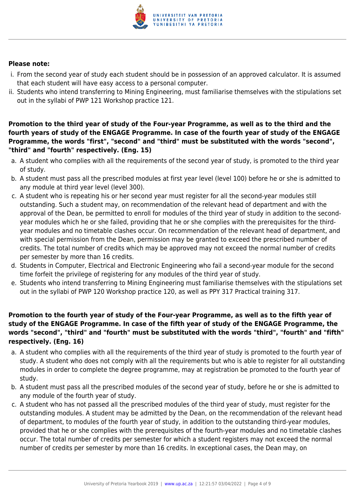

#### **Please note:**

- i. From the second year of study each student should be in possession of an approved calculator. It is assumed that each student will have easy access to a personal computer.
- ii. Students who intend transferring to Mining Engineering, must familiarise themselves with the stipulations set out in the syllabi of PWP 121 Workshop practice 121.

**Promotion to the third year of study of the Four-year Programme, as well as to the third and the fourth years of study of the ENGAGE Programme. In case of the fourth year of study of the ENGAGE Programme, the words "first", "second" and "third" must be substituted with the words "second", "third" and "fourth" respectively. (Eng. 15)**

- a. A student who complies with all the requirements of the second year of study, is promoted to the third year of study.
- b. A student must pass all the prescribed modules at first year level (level 100) before he or she is admitted to any module at third year level (level 300).
- c. A student who is repeating his or her second year must register for all the second-year modules still outstanding. Such a student may, on recommendation of the relevant head of department and with the approval of the Dean, be permitted to enroll for modules of the third year of study in addition to the secondyear modules which he or she failed, providing that he or she complies with the prerequisites for the thirdyear modules and no timetable clashes occur. On recommendation of the relevant head of department, and with special permission from the Dean, permission may be granted to exceed the prescribed number of credits. The total number of credits which may be approved may not exceed the normal number of credits per semester by more than 16 credits.
- d. Students in Computer, Electrical and Electronic Engineering who fail a second-year module for the second time forfeit the privilege of registering for any modules of the third year of study.
- e. Students who intend transferring to Mining Engineering must familiarise themselves with the stipulations set out in the syllabi of PWP 120 Workshop practice 120, as well as PPY 317 Practical training 317.

#### **Promotion to the fourth year of study of the Four-year Programme, as well as to the fifth year of study of the ENGAGE Programme. In case of the fifth year of study of the ENGAGE Programme, the words "second", "third" and "fourth" must be substituted with the words "third", "fourth" and "fifth" respectively. (Eng. 16)**

- a. A student who complies with all the requirements of the third year of study is promoted to the fourth year of study. A student who does not comply with all the requirements but who is able to register for all outstanding modules in order to complete the degree programme, may at registration be promoted to the fourth year of study.
- b. A student must pass all the prescribed modules of the second year of study, before he or she is admitted to any module of the fourth year of study.
- c. A student who has not passed all the prescribed modules of the third year of study, must register for the outstanding modules. A student may be admitted by the Dean, on the recommendation of the relevant head of department, to modules of the fourth year of study, in addition to the outstanding third-year modules, provided that he or she complies with the prerequisites of the fourth-year modules and no timetable clashes occur. The total number of credits per semester for which a student registers may not exceed the normal number of credits per semester by more than 16 credits. In exceptional cases, the Dean may, on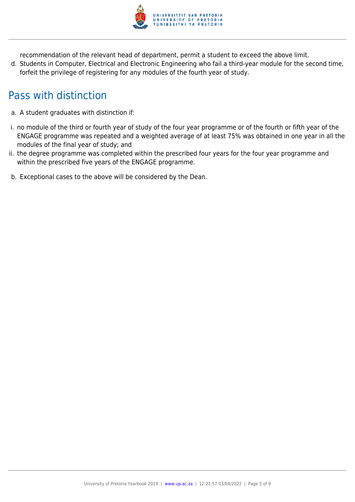

recommendation of the relevant head of department, permit a student to exceed the above limit.

d. Students in Computer, Electrical and Electronic Engineering who fail a third-year module for the second time, forfeit the privilege of registering for any modules of the fourth year of study.

# Pass with distinction

- a. A student graduates with distinction if:
- i. no module of the third or fourth year of study of the four year programme or of the fourth or fifth year of the ENGAGE programme was repeated and a weighted average of at least 75% was obtained in one year in all the modules of the final year of study; and
- ii. the degree programme was completed within the prescribed four years for the four year programme and within the prescribed five years of the ENGAGE programme.
- b. Exceptional cases to the above will be considered by the Dean.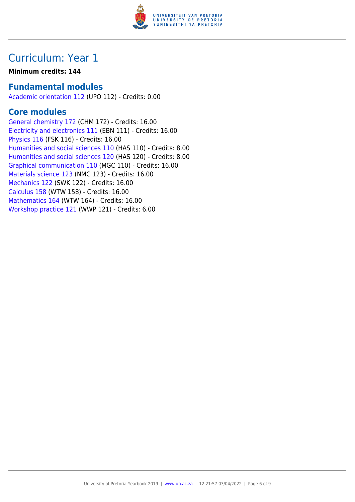

## Curriculum: Year 1

#### **Minimum credits: 144**

### **Fundamental modules**

[Academic orientation 112](https://www.up.ac.za/yearbooks/2019/modules/view/UPO 112) (UPO 112) - Credits: 0.00

### **Core modules**

[General chemistry 172](https://www.up.ac.za/yearbooks/2019/modules/view/CHM 172) (CHM 172) - Credits: 16.00 [Electricity and electronics 111](https://www.up.ac.za/yearbooks/2019/modules/view/EBN 111) (EBN 111) - Credits: 16.00 [Physics 116](https://www.up.ac.za/yearbooks/2019/modules/view/FSK 116) (FSK 116) - Credits: 16.00 [Humanities and social sciences 110](https://www.up.ac.za/yearbooks/2019/modules/view/HAS 110) (HAS 110) - Credits: 8.00 [Humanities and social sciences 120](https://www.up.ac.za/yearbooks/2019/modules/view/HAS 120) (HAS 120) - Credits: 8.00 [Graphical communication 110](https://www.up.ac.za/yearbooks/2019/modules/view/MGC 110) (MGC 110) - Credits: 16.00 [Materials science 123](https://www.up.ac.za/yearbooks/2019/modules/view/NMC 123) (NMC 123) - Credits: 16.00 [Mechanics 122](https://www.up.ac.za/yearbooks/2019/modules/view/SWK 122) (SWK 122) - Credits: 16.00 [Calculus 158](https://www.up.ac.za/yearbooks/2019/modules/view/WTW 158) (WTW 158) - Credits: 16.00 [Mathematics 164](https://www.up.ac.za/yearbooks/2019/modules/view/WTW 164) (WTW 164) - Credits: 16.00 [Workshop practice 121](https://www.up.ac.za/yearbooks/2019/modules/view/WWP 121) (WWP 121) - Credits: 6.00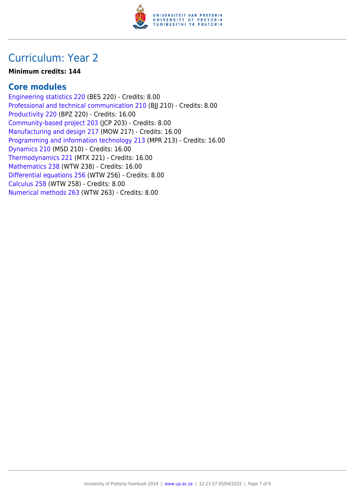

## Curriculum: Year 2

#### **Minimum credits: 144**

### **Core modules**

[Engineering statistics 220](https://www.up.ac.za/yearbooks/2019/modules/view/BES 220) (BES 220) - Credits: 8.00 [Professional and technical communication 210](https://www.up.ac.za/yearbooks/2019/modules/view/BJJ 210) (BJJ 210) - Credits: 8.00 [Productivity 220](https://www.up.ac.za/yearbooks/2019/modules/view/BPZ 220) (BPZ 220) - Credits: 16.00 [Community-based project 203](https://www.up.ac.za/yearbooks/2019/modules/view/JCP 203) (JCP 203) - Credits: 8.00 [Manufacturing and design 217](https://www.up.ac.za/yearbooks/2019/modules/view/MOW 217) (MOW 217) - Credits: 16.00 [Programming and information technology 213](https://www.up.ac.za/yearbooks/2019/modules/view/MPR 213) (MPR 213) - Credits: 16.00 [Dynamics 210](https://www.up.ac.za/yearbooks/2019/modules/view/MSD 210) (MSD 210) - Credits: 16.00 [Thermodynamics 221](https://www.up.ac.za/yearbooks/2019/modules/view/MTX 221) (MTX 221) - Credits: 16.00 [Mathematics 238](https://www.up.ac.za/yearbooks/2019/modules/view/WTW 238) (WTW 238) - Credits: 16.00 [Differential equations 256](https://www.up.ac.za/yearbooks/2019/modules/view/WTW 256) (WTW 256) - Credits: 8.00 [Calculus 258](https://www.up.ac.za/yearbooks/2019/modules/view/WTW 258) (WTW 258) - Credits: 8.00 [Numerical methods 263](https://www.up.ac.za/yearbooks/2019/modules/view/WTW 263) (WTW 263) - Credits: 8.00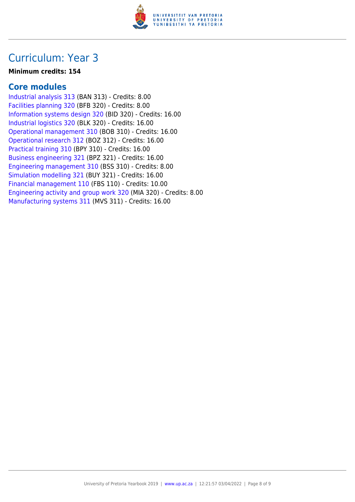

### Curriculum: Year 3

#### **Minimum credits: 154**

### **Core modules**

[Industrial analysis 313](https://www.up.ac.za/yearbooks/2019/modules/view/BAN 313) (BAN 313) - Credits: 8.00 [Facilities planning 320](https://www.up.ac.za/yearbooks/2019/modules/view/BFB 320) (BFB 320) - Credits: 8.00 [Information systems design 320](https://www.up.ac.za/yearbooks/2019/modules/view/BID 320) (BID 320) - Credits: 16.00 [Industrial logistics 320](https://www.up.ac.za/yearbooks/2019/modules/view/BLK 320) (BLK 320) - Credits: 16.00 [Operational management 310](https://www.up.ac.za/yearbooks/2019/modules/view/BOB 310) (BOB 310) - Credits: 16.00 [Operational research 312](https://www.up.ac.za/yearbooks/2019/modules/view/BOZ 312) (BOZ 312) - Credits: 16.00 [Practical training 310](https://www.up.ac.za/yearbooks/2019/modules/view/BPY 310) (BPY 310) - Credits: 16.00 [Business engineering 321](https://www.up.ac.za/yearbooks/2019/modules/view/BPZ 321) (BPZ 321) - Credits: 16.00 [Engineering management 310](https://www.up.ac.za/yearbooks/2019/modules/view/BSS 310) (BSS 310) - Credits: 8.00 [Simulation modelling 321](https://www.up.ac.za/yearbooks/2019/modules/view/BUY 321) (BUY 321) - Credits: 16.00 [Financial management 110](https://www.up.ac.za/yearbooks/2019/modules/view/FBS 110) (FBS 110) - Credits: 10.00 [Engineering activity and group work 320](https://www.up.ac.za/yearbooks/2019/modules/view/MIA 320) (MIA 320) - Credits: 8.00 [Manufacturing systems 311](https://www.up.ac.za/yearbooks/2019/modules/view/MVS 311) (MVS 311) - Credits: 16.00